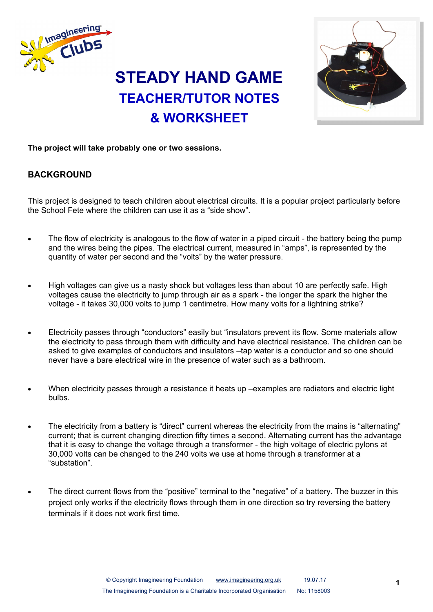

# **STEADY HAND GAME TEACHER/TUTOR NOTES & WORKSHEET**



### **The project will take probably one or two sessions.**

## **BACKGROUND**

This project is designed to teach children about electrical circuits. It is a popular project particularly before the School Fete where the children can use it as a "side show".

- The flow of electricity is analogous to the flow of water in a piped circuit the battery being the pump and the wires being the pipes. The electrical current, measured in "amps", is represented by the quantity of water per second and the "volts" by the water pressure.
- High voltages can give us a nasty shock but voltages less than about 10 are perfectly safe. High voltages cause the electricity to jump through air as a spark - the longer the spark the higher the voltage - it takes 30,000 volts to jump 1 centimetre. How many volts for a lightning strike?
- Electricity passes through "conductors" easily but "insulators prevent its flow. Some materials allow the electricity to pass through them with difficulty and have electrical resistance. The children can be asked to give examples of conductors and insulators –tap water is a conductor and so one should never have a bare electrical wire in the presence of water such as a bathroom.
- When electricity passes through a resistance it heats up –examples are radiators and electric light bulbs.
- The electricity from a battery is "direct" current whereas the electricity from the mains is "alternating" current; that is current changing direction fifty times a second. Alternating current has the advantage that it is easy to change the voltage through a transformer - the high voltage of electric pylons at 30,000 volts can be changed to the 240 volts we use at home through a transformer at a "substation".
- The direct current flows from the "positive" terminal to the "negative" of a battery. The buzzer in this project only works if the electricity flows through them in one direction so try reversing the battery terminals if it does not work first time.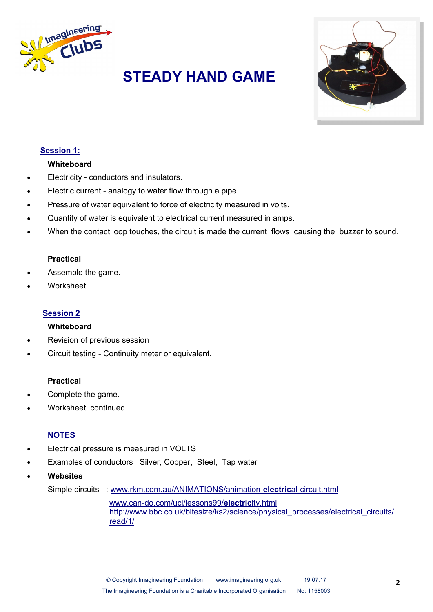

# **STEADY HAND GAME**



### **Session 1:**

#### **Whiteboard**

- Electricity conductors and insulators.
- Electric current analogy to water flow through a pipe.
- Pressure of water equivalent to force of electricity measured in volts.
- Quantity of water is equivalent to electrical current measured in amps.
- When the contact loop touches, the circuit is made the current flows causing the buzzer to sound.

#### **Practical**

- Assemble the game.
- Worksheet.

#### **Session 2**

#### **Whiteboard**

- Revision of previous session
- Circuit testing Continuity meter or equivalent.

#### **Practical**

- Complete the game.
- Worksheet continued.

### **NOTES**

- Electrical pressure is measured in VOLTS
- Examples of conductors Silver, Copper, Steel, Tap water
- **Websites**

Simple circuits : [www.rkm.com.au/ANIMATIONS/animation](http://www.rkm.com.au/ANIMATIONS/animation-electrical-circuit.html)-**electric**al-circuit.html

www.can-[do.com/uci/lessons99/](http://www.can-do.com/uci/lessons99/electricity.html)**electric**ity.html http://www.bbc.co.uk/bitesize/ks2/science/physical\_processes/electrical\_circuits/ read/1/